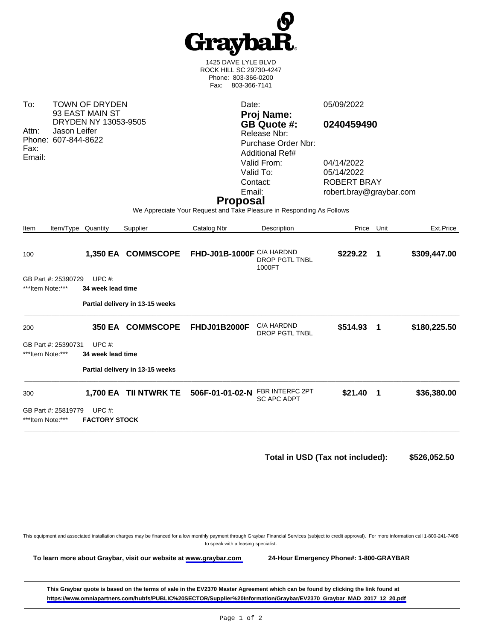

1425 DAVE LYLE BLVD ROCK HILL SC 29730-4247 Phone: 803-366-0200 Fax: 803-366-7141

To: TOWN OF DRYDEN 93 EAST MAIN ST DRYDEN NY 13053-9505 Attn: Jason Leifer Phone: 607-844-8622 Fax: Email: Date: 05/09/2022 **Proj Name: GB Quote #: 0240459490** Release Nbr: Purchase Order Nbr: Additional Ref# Valid From: 04/14/2022<br>Valid To: 05/14/2022 Valid To: 05/14/2022<br>Contact: ROBERT B ROBERT BRAY Email: robert.bray@graybar.com **Proposal** We Appreciate Your Request and Take Pleasure in Responding As Follows Item Item/Type Quantity Supplier Catalog Nbr Description Price Unit Ext.Price 100 **1,350 EA COMMSCOPE FHD-J01B-1000F** C/A HARDND DROP PGTL TNBL 1000FT **\$229.22 1 \$309,447.00**  GB Part #: 25390729 UPC #: \*\*\*Item Note:\*\*\* **34 week lead time Partial delivery in 13-15 weeks** \_\_\_\_\_\_\_\_\_\_\_\_\_\_\_\_\_\_\_\_\_\_\_\_\_\_\_\_\_\_\_\_\_\_\_\_\_\_\_\_\_\_\_\_\_\_\_\_\_\_\_\_\_\_\_\_\_\_\_\_\_\_\_\_\_\_\_\_\_\_\_\_\_\_\_\_\_\_\_\_\_\_\_\_\_\_\_\_\_\_\_\_\_\_\_\_\_\_\_\_\_\_\_\_\_\_\_\_\_\_\_\_ 200 **350 EA COMMSCOPE FHDJ01B2000F** C/A HARDND DROP PGTL TNBL **\$514.93 1 \$180,225.50**  GB Part #: 25390731 UPC #: \*\*\*Item Note:\*\*\* **34 week lead time Partial delivery in 13-15 weeks** \_\_\_\_\_\_\_\_\_\_\_\_\_\_\_\_\_\_\_\_\_\_\_\_\_\_\_\_\_\_\_\_\_\_\_\_\_\_\_\_\_\_\_\_\_\_\_\_\_\_\_\_\_\_\_\_\_\_\_\_\_\_\_\_\_\_\_\_\_\_\_\_\_\_\_\_\_\_\_\_\_\_\_\_\_\_\_\_\_\_\_\_\_\_\_\_\_\_\_\_\_\_\_\_\_\_\_\_\_\_\_\_ 300 **1,700 EA TII NTWRK TE 506F-01-01-02-N** FBR INTERFC 2PT **\$21.40 1 \$36,380.00** 

GB Part #: 25819779 UPC #: \*\*\*Item Note:\*\*\* **FACTORY STOCK**

\_\_\_\_\_\_\_\_\_\_\_\_\_\_\_\_\_\_\_\_\_\_\_\_\_\_\_\_\_\_\_\_\_\_\_\_\_\_\_\_\_\_\_\_\_\_\_\_\_\_\_\_\_\_\_\_\_\_\_\_\_\_\_\_\_\_\_\_\_\_\_\_\_\_\_\_\_\_\_\_\_\_\_\_\_\_\_\_\_\_\_\_\_\_\_\_\_\_\_\_\_\_\_\_\_\_\_\_\_\_\_\_

**Total in USD (Tax not included): \$526,052.50** 

This equipment and associated installation charges may be financed for a low monthly payment through Graybar Financial Services (subject to credit approval). For more information call 1-800-241-7408 to speak with a leasing specialist.

SC APC ADPT

**To learn more about Graybar, visit our website at [www.graybar.com](www.graybar.com ) 24-Hour Emergency Phone#: 1-800-GRAYBAR**

**This Graybar quote is based on the terms of sale in the EV2370 Master Agreement which can be found by clicking the link found at [https://www.omniapartners.com/hubfs/PUBLIC%20SECTOR/Supplier%20Information/Graybar/EV2370\\_Graybar\\_MAD\\_2017\\_12\\_20.pdf](https://www.omniapartners.com/hubfs/PUBLIC%20SECTOR/Supplier%20Information/Graybar/EV2370_Graybar_MAD_2017_12_20.pdf)**